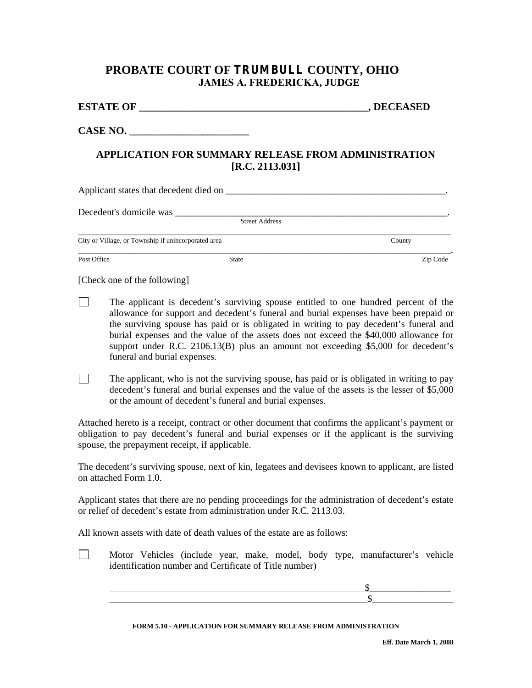## **PROBATE COURT OF TRUMBULL COUNTY, OHIO JAMES A. FREDERICKA, JUDGE**

| <b>ESTATE OF</b> | , DECEASED |
|------------------|------------|
|                  |            |

CASE NO.

## **APPLICATION FOR SUMMARY RELEASE FROM ADMINISTRATION [R.C. 2113.031]**

| Applicant states that decedent died on __           |                       |          |  |  |  |  |
|-----------------------------------------------------|-----------------------|----------|--|--|--|--|
| Decedent's domicile was                             |                       |          |  |  |  |  |
|                                                     | <b>Street Address</b> |          |  |  |  |  |
| City or Village, or Township if unincorporated area |                       | County   |  |  |  |  |
| Post Office                                         | <b>State</b>          | Zip Code |  |  |  |  |

[Check one of the following]

- $\Box$ The applicant is decedent's surviving spouse entitled to one hundred percent of the allowance for support and decedent's funeral and burial expenses have been prepaid or the surviving spouse has paid or is obligated in writing to pay decedent's funeral and burial expenses and the value of the assets does not exceed the \$40,000 allowance for support under R.C. 2106.13(B) plus an amount not exceeding \$5,000 for decedent's funeral and burial expenses.
- $\Box$ The applicant, who is not the surviving spouse, has paid or is obligated in writing to pay decedent's funeral and burial expenses and the value of the assets is the lesser of \$5,000 or the amount of decedent's funeral and burial expenses.

Attached hereto is a receipt, contract or other document that confirms the applicant's payment or obligation to pay decedent's funeral and burial expenses or if the applicant is the surviving spouse, the prepayment receipt, if applicable.

The decedent's surviving spouse, next of kin, legatees and devisees known to applicant, are listed on attached Form 1.0.

Applicant states that there are no pending proceedings for the administration of decedent's estate or relief of decedent's estate from administration under R.C. 2113.03.

All known assets with date of death values of the estate are as follows:

|                                                        |  |  |  |  |  |  |  |  | Motor Vehicles (include year, make, model, body type, manufacturer's vehicle |  |
|--------------------------------------------------------|--|--|--|--|--|--|--|--|------------------------------------------------------------------------------|--|
| identification number and Certificate of Title number) |  |  |  |  |  |  |  |  |                                                                              |  |

|                                      | ________            |
|--------------------------------------|---------------------|
| ________________<br>__________<br>__ | ___________________ |

## **FORM 5.10 - APPLICATION FOR SUMMARY RELEASE FROM ADMINISTRATION**